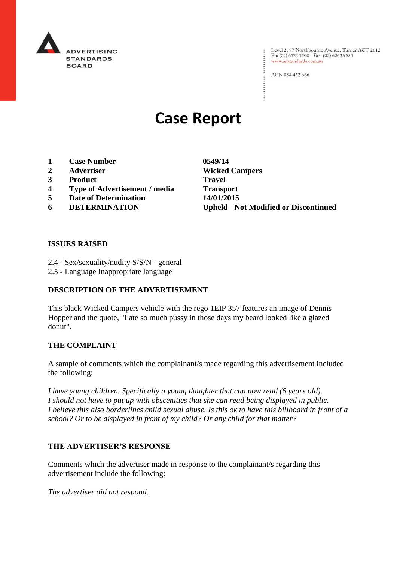

: Level 2, 97 Northbourne Avenue, Turner ACT 2612<br>: Ph: (02) 6173 1500 | Fax: (02) 6262 9833 Ph: (02) 6173 1500 | Fax: (02) 6262 9833 www.adstandards.com.au

ACN 084 452 666

# **Case Report**

- **1 Case Number 0549/14**
- **2 Advertiser Wicked Campers**
- **3 Product Travel**
- **4 Type of Advertisement / media Transport**
- **5 Date of Determination 14/01/2015**
- 

**6 DETERMINATION Upheld - Not Modified or Discontinued**

 $\vdots$ 

#### **ISSUES RAISED**

- 2.4 Sex/sexuality/nudity S/S/N general
- 2.5 Language Inappropriate language

## **DESCRIPTION OF THE ADVERTISEMENT**

This black Wicked Campers vehicle with the rego 1EIP 357 features an image of Dennis Hopper and the quote, "I ate so much pussy in those days my beard looked like a glazed donut".

#### **THE COMPLAINT**

A sample of comments which the complainant/s made regarding this advertisement included the following:

*I have young children. Specifically a young daughter that can now read (6 years old). I should not have to put up with obscenities that she can read being displayed in public. I believe this also borderlines child sexual abuse. Is this ok to have this billboard in front of a school? Or to be displayed in front of my child? Or any child for that matter?*

#### **THE ADVERTISER'S RESPONSE**

Comments which the advertiser made in response to the complainant/s regarding this advertisement include the following:

*The advertiser did not respond.*